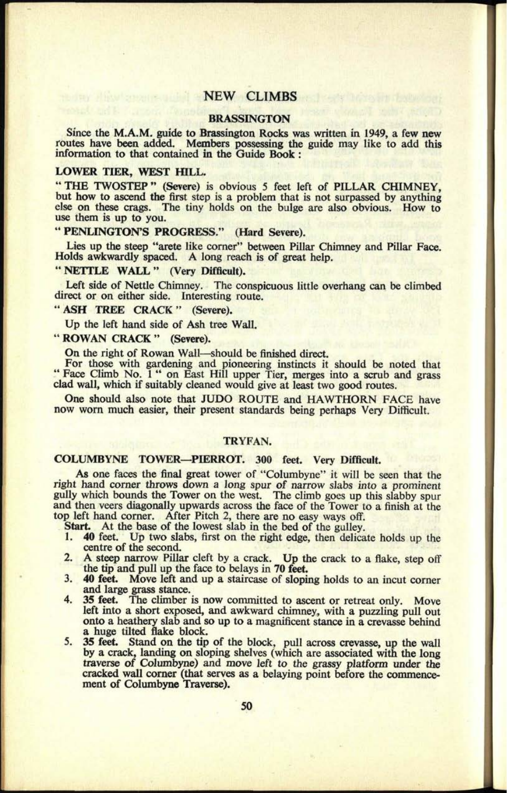# **NEW CLIMBS**

#### **BRASSINGTON**

Since the M.A.M. guide to Brassington Rocks was written in 1949, a few new routes have been added. Members possessing the guide may like to add this information to that contained in the Guide Book :

### **LOWER TIER, WEST HILL.**

"THE TWOSTEP" (Severe) is obvious 5 feet left of PILLAR CHIMNEY, but how to ascend the first step is a problem that is not surpassed by anything else on these crags. The tiny holds on the bulge are also obvious. How to use them is up to you.

### **" PENLINGTON'S PROGRESS." (Hard Severe).**

Lies up the steep "arete like corner" between Pillar Chimney and Pillar Face. Holds awkwardly spaced. A long reach is of great help.

# " NETTLE WALL " (Very Difficult).

Left side of Nettle Chimney. The conspicuous little overhang can be climbed direct or on either side. Interesting route.

## " ASH TREE CRACK " (Severe).

Up the left hand side of Ash tree Wall.

# " ROWAN CRACK " (Severe).

On the right of Rowan Wall—should be finished direct.

For those with gardening and pioneering instincts it should be noted that "Face Climb No. 1" on East Hill upper Tier, merges into a scrub and grass clad wall, which if suitably cleaned would give at least two good routes.

One should also note that JUDO ROUTE and HAWTHORN FACE have now worn much easier, their present standards being perhaps Very Difficult.

### **TRYFAN.**

# **COLUMBYNE TOWER PIERROT. 300 feet. Very Difficult.**

As one faces the final great tower of "Columbyne" it will be seen that the right hand corner throws down a long spur of narrow slabs into a prominent gully which bounds the Tower on the west. The climb goes up this slabby spur and then veers diagonally upwards across the face of the Tower to a finish at the top left hand corner. After Pitch 2, there are no easy ways off.<br>Start. At the base of the lowest slab in the bed of the gulley.

Start. At the base of the lowest slab in the bed of the gulley.<br>1.40 feet Un two slabs, first on the right edge, then delical

- 40 feet. Up two slabs, first on the right edge, then delicate holds up the centre of the second.
- 2. A steep narrow Pillar cleft by a crack. Up the crack to a flake, step off the tip and pull up the face to belays in 70 feet.
- 3. 40 feet. Move left and up a staircase of sloping holds to an incut corner and large grass stance.
- 4. 35 feet. The climber is now committed to ascent or retreat only. Move left into a short exposed, and awkward chimney, with a puzzling pull out onto a heathery slab and so up to <sup>a</sup>magnificent stance in <sup>a</sup>crevasse behind a huge tilted flake block.
- 5. 35 feet. Stand on the tip of the block, pull across crevasse, up the wall by a crack, landing on sloping shelves (which are associated with the long traverse of Columbyne) and move left to the grassy platform under the cracked wall corner (that serves as a belaying point before the commencement of Columbyne Traverse).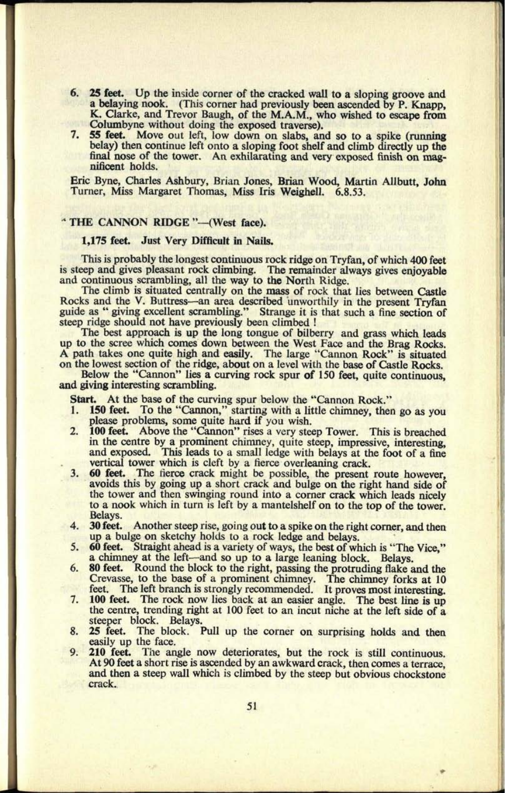- 6. 25 feet. Up the inside corner of the cracked wall to a sloping groove and <sup>a</sup>belaying nook. (This corner had previously been ascended by P. Knapp, K. Clarke, and Trevor Baugh, of the M.A.M., who wished to escape from Columbyne without doing the exposed traverse).
- 7. 55 feet. Move out left, low down on slabs, and so to a spike (running belay) then continue left onto a sloping foot shelf and climb directly up the final nose of the tower. An exhilarating and very exposed finish on magnificent holds.

Eric Byne, Charles Ashbury, Brian Jones, Brian Wood, Martin Allbutt, John Turner, Miss Margaret Thomas, Miss Iris Weighell. 6.8.53.

# " THE CANNON RIDGE "-(West face).

### 1,175 feet. Just Very Difficult in Nails.

This is probably the longest continuous rock ridge on Tryfan, of which 400 feet is steep and gives pleasant rock climbing. The remainder always gives enjoyable and continuous scrambling, all the way to the Nortli Ridge.

The climb is situated centrally on the mass of rock that lies between Castle Rocks and the V. Buttress—an area described unworthily in the present Tryfan guide as " giving excellent scrambling." Strange it is that such a fine section of steep ridge should not have previously been climbed !

The best approach is up the long tongue of bilberry and grass which leads up to the scree which comes down between the West Face and the Brag Rocks.<br>A path takes one quite high and easily. The large "Cannon Rock" is situated<br>on the lowest section of the ridge, about on a level with the base of C

Below the "Cannon" lies a curving rock spur of 150 feet, quite continuous, and giving interesting scrambling.

Start. At the base of the curving spur below the "Cannon Rock."<br>1. 150 feet. To the "Cannon." starting with a little chimney, then

- To the "Cannon," starting with a little chimney, then go as you please problems, some quite hard if you wish.
- 2. 100 feet. Above the "Cannon" rises a very steep Tower. This is breached in the centre by a prominent chimney, quite steep, impressive, interesting, and exposed. This leads to a small ledge with belays at the foot of a fine vertical tower which is cleft by a fierce overleaning crack.
- 3. 60 feet. The fierce crack might be possible, the present route however, avoids this by going up a short crack and bulge on the right hand side of the tower and then swinging round into a corner crack which leads nicely to a nook which in turn is left by a mantelshelf on to the top of the tower. Belays.
- 4. 30 feet. Another steep rise, going out to a spike on the right corner, and then up a bulge on sketchy holds to a rock ledge and belays.
- 5. 60 feet. Straight ahead is a variety of ways, the best of which is "The Vice," a chimney at the left—and so up to a large leaning block. Belays.
- 80 feet. Round the block to the right, passing the protruding flake and the Crevasse, to the base of a prominent chimney. The chimney forks at 10 feet. The left branch is strongly recommended. It proves most interesting.
- 7. 100 feet. The rock now lies back at an easier angle. The best line is up the centre, trending right at 100 feet to an incut niche at the left side of <sup>a</sup> steeper block. Belays.
- 8. 25 feet. The block. Pull up the corner on surprising holds and then easily up the face.
- 9. 210 feet. The angle now deteriorates, but the rock is still continuous. At 90 feet a short rise is ascended by an awkward crack, then comes a terrace, and then a steep wall which is climbed by the steep but obvious chockstone crack.